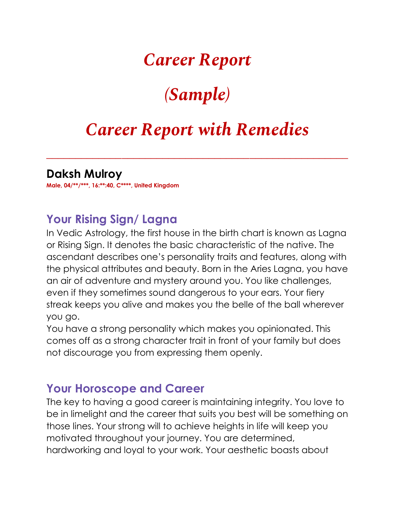## *Career Report*

# *(Sample)*

## *Career Report with Remedies*

*\_\_\_\_\_\_\_\_\_\_\_\_\_\_\_\_\_\_\_\_\_\_\_\_\_\_\_\_\_\_\_\_\_\_\_\_\_\_\_\_\_\_\_\_\_\_\_\_\_\_\_\_*

#### **Daksh Mulroy**

**Male, 04/\*\*/\*\*\*, 16:\*\*:40, C\*\*\*\*, United Kingdom**

### **Your Rising Sign/ Lagna**

In Vedic Astrology, the first house in the birth chart is known as Lagna or Rising Sign. It denotes the basic characteristic of the native. The ascendant describes one's personality traits and features, along with the physical attributes and beauty. Born in the Aries Lagna, you have an air of adventure and mystery around you. You like challenges, even if they sometimes sound dangerous to your ears. Your fiery streak keeps you alive and makes you the belle of the ball wherever you go.

You have a strong personality which makes you opinionated. This comes off as a strong character trait in front of your family but does not discourage you from expressing them openly.

#### **Your Horoscope and Career**

The key to having a good career is maintaining integrity. You love to be in limelight and the career that suits you best will be something on those lines. Your strong will to achieve heights in life will keep you motivated throughout your journey. You are determined, hardworking and loyal to your work. Your aesthetic boasts about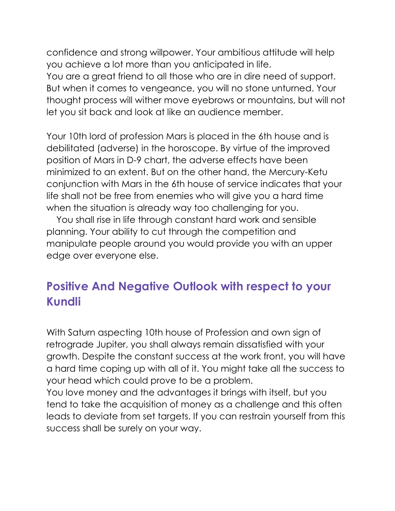confidence and strong willpower. Your ambitious attitude will help you achieve a lot more than you anticipated in life. You are a great friend to all those who are in dire need of support. But when it comes to vengeance, you will no stone unturned. Your thought process will wither move eyebrows or mountains, but will not let you sit back and look at like an audience member.

Your 10th lord of profession Mars is placed in the 6th house and is debilitated (adverse) in the horoscope. By virtue of the improved position of Mars in D-9 chart, the adverse effects have been minimized to an extent. But on the other hand, the Mercury-Ketu conjunction with Mars in the 6th house of service indicates that your life shall not be free from enemies who will give you a hard time when the situation is already way too challenging for you.

 You shall rise in life through constant hard work and sensible planning. Your ability to cut through the competition and manipulate people around you would provide you with an upper edge over everyone else.

### **Positive And Negative Outlook with respect to your Kundli**

With Saturn aspecting 10th house of Profession and own sign of retrograde Jupiter, you shall always remain dissatisfied with your growth. Despite the constant success at the work front, you will have a hard time coping up with all of it. You might take all the success to your head which could prove to be a problem.

You love money and the advantages it brings with itself, but you tend to take the acquisition of money as a challenge and this often leads to deviate from set targets. If you can restrain yourself from this success shall be surely on your way.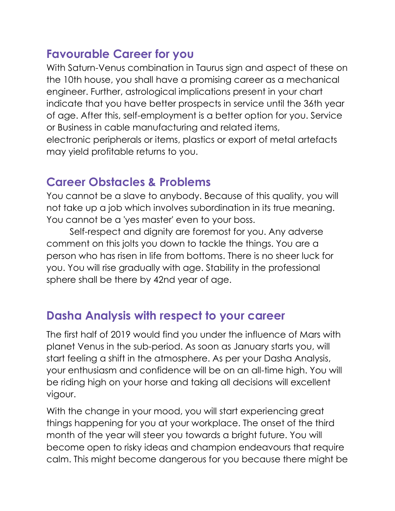#### **Favourable Career for you**

With Saturn-Venus combination in Taurus sign and aspect of these on the 10th house, you shall have a promising career as a mechanical engineer. Further, astrological implications present in your chart indicate that you have better prospects in service until the 36th year of age. After this, self-employment is a better option for you. Service or Business in cable manufacturing and related items, electronic peripherals or items, plastics or export of metal artefacts may yield profitable returns to you.

#### **Career Obstacles & Problems**

You cannot be a slave to anybody. Because of this quality, you will not take up a job which involves subordination in its true meaning. You cannot be a 'yes master' even to your boss.

Self-respect and dignity are foremost for you. Any adverse comment on this jolts you down to tackle the things. You are a person who has risen in life from bottoms. There is no sheer luck for you. You will rise gradually with age. Stability in the professional sphere shall be there by 42nd year of age.

#### **Dasha Analysis with respect to your career**

The first half of 2019 would find you under the influence of Mars with planet Venus in the sub-period. As soon as January starts you, will start feeling a shift in the atmosphere. As per your Dasha Analysis, your enthusiasm and confidence will be on an all-time high. You will be riding high on your horse and taking all decisions will excellent vigour.

With the change in your mood, you will start experiencing great things happening for you at your workplace. The onset of the third month of the year will steer you towards a bright future. You will become open to risky ideas and champion endeavours that require calm. This might become dangerous for you because there might be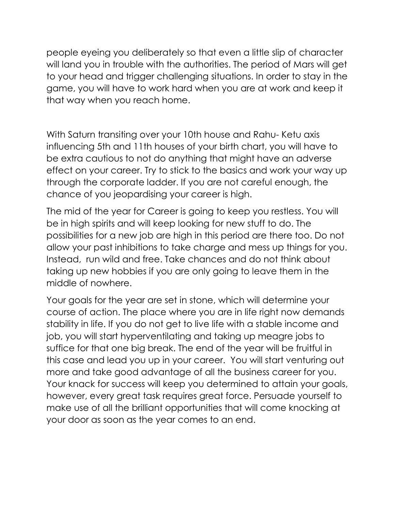people eyeing you deliberately so that even a little slip of character will land you in trouble with the authorities. The period of Mars will get to your head and trigger challenging situations. In order to stay in the game, you will have to work hard when you are at work and keep it that way when you reach home.

With Saturn transiting over your 10th house and Rahu- Ketu axis influencing 5th and 11th houses of your birth chart, you will have to be extra cautious to not do anything that might have an adverse effect on your career. Try to stick to the basics and work your way up through the corporate ladder. If you are not careful enough, the chance of you jeopardising your career is high.

The mid of the year for Career is going to keep you restless. You will be in high spirits and will keep looking for new stuff to do. The possibilities for a new job are high in this period are there too. Do not allow your past inhibitions to take charge and mess up things for you. Instead, run wild and free. Take chances and do not think about taking up new hobbies if you are only going to leave them in the middle of nowhere.

Your goals for the year are set in stone, which will determine your course of action. The place where you are in life right now demands stability in life. If you do not get to live life with a stable income and job, you will start hyperventilating and taking up meagre jobs to suffice for that one big break. The end of the year will be fruitful in this case and lead you up in your career. You will start venturing out more and take good advantage of all the business career for you. Your knack for success will keep you determined to attain your goals, however, every great task requires great force. Persuade yourself to make use of all the brilliant opportunities that will come knocking at your door as soon as the year comes to an end.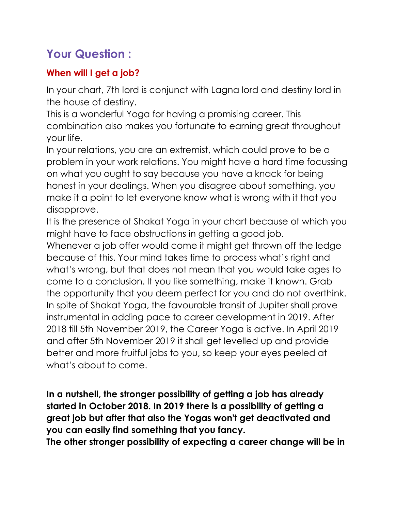### **Your Question :**

#### **When will I get a job?**

In your chart, 7th lord is conjunct with Lagna lord and destiny lord in the house of destiny.

This is a wonderful Yoga for having a promising career. This combination also makes you fortunate to earning great throughout your life.

In your relations, you are an extremist, which could prove to be a problem in your work relations. You might have a hard time focussing on what you ought to say because you have a knack for being honest in your dealings. When you disagree about something, you make it a point to let everyone know what is wrong with it that you disapprove.

It is the presence of Shakat Yoga in your chart because of which you might have to face obstructions in getting a good job.

Whenever a job offer would come it might get thrown off the ledge because of this. Your mind takes time to process what's right and what's wrong, but that does not mean that you would take ages to come to a conclusion. If you like something, make it known. Grab the opportunity that you deem perfect for you and do not overthink. In spite of Shakat Yoga, the favourable transit of Jupiter shall prove instrumental in adding pace to career development in 2019. After 2018 till 5th November 2019, the Career Yoga is active. In April 2019 and after 5th November 2019 it shall get levelled up and provide better and more fruitful jobs to you, so keep your eyes peeled at what's about to come.

**In a nutshell, the stronger possibility of getting a job has already started in October 2018. In 2019 there is a possibility of getting a great job but after that also the Yogas won't get deactivated and you can easily find something that you fancy.**

**The other stronger possibility of expecting a career change will be in**